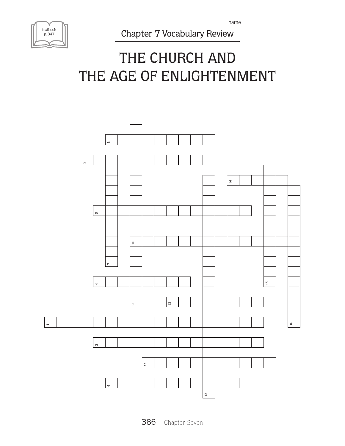| textbook<br>p. 347 |  |
|--------------------|--|
|                    |  |

Chapter 7 Vocabulary Review

## THE CHURCH AND THE AGE OF ENLIGHTENMENT